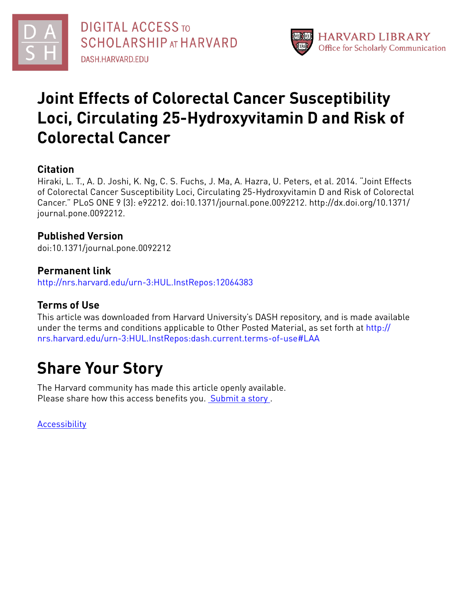



# **Joint Effects of Colorectal Cancer Susceptibility Loci, Circulating 25-Hydroxyvitamin D and Risk of Colorectal Cancer**

## **Citation**

Hiraki, L. T., A. D. Joshi, K. Ng, C. S. Fuchs, J. Ma, A. Hazra, U. Peters, et al. 2014. "Joint Effects of Colorectal Cancer Susceptibility Loci, Circulating 25-Hydroxyvitamin D and Risk of Colorectal Cancer." PLoS ONE 9 (3): e92212. doi:10.1371/journal.pone.0092212. http://dx.doi.org/10.1371/ journal.pone.0092212.

## **Published Version**

doi:10.1371/journal.pone.0092212

## **Permanent link** <http://nrs.harvard.edu/urn-3:HUL.InstRepos:12064383>

# **Terms of Use**

This article was downloaded from Harvard University's DASH repository, and is made available under the terms and conditions applicable to Other Posted Material, as set forth at [http://](http://nrs.harvard.edu/urn-3:HUL.InstRepos:dash.current.terms-of-use#LAA) [nrs.harvard.edu/urn-3:HUL.InstRepos:dash.current.terms-of-use#LAA](http://nrs.harvard.edu/urn-3:HUL.InstRepos:dash.current.terms-of-use#LAA)

# **Share Your Story**

The Harvard community has made this article openly available. Please share how this access benefits you. [Submit](http://osc.hul.harvard.edu/dash/open-access-feedback?handle=&title=Joint%20Effects%20of%20Colorectal%20Cancer%20Susceptibility%20Loci,%20Circulating%2025-Hydroxyvitamin%20D%20and%20Risk%20of%20Colorectal%20Cancer&community=1/4454685&collection=1/4454686&owningCollection1/4454686&harvardAuthors=2a287b222748bf4c8bd5a378f7359b24&department) a story.

[Accessibility](https://dash.harvard.edu/pages/accessibility)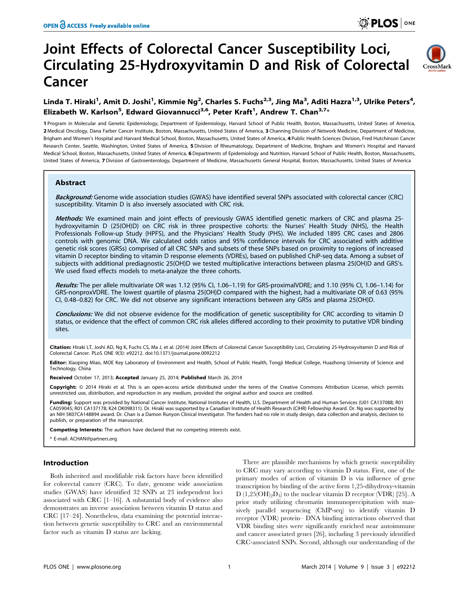# Joint Effects of Colorectal Cancer Susceptibility Loci, Circulating 25-Hydroxyvitamin D and Risk of Colorectal Cancer



## Linda T. Hiraki<sup>1</sup>, Amit D. Joshi<sup>1</sup>, Kimmie Ng<sup>2</sup>, Charles S. Fuchs<sup>2,3</sup>, Jing Ma<sup>3</sup>, Aditi Hazra<sup>1,3</sup>, Ulrike Peters<sup>4</sup>, Elizabeth W. Karlson<sup>5</sup>, Edward Giovannucci<sup>3,6</sup>, Peter Kraft<sup>1</sup>, Andrew T. Chan<sup>3,7</sup>\*

1 Program in Molecular and Genetic Epidemiology, Department of Epidemiology, Harvard School of Public Health, Boston, Massachusetts, United States of America, 2 Medical Oncology, Dana Farber Cancer Institute, Boston, Massachusetts, United States of America, 3 Channing Division of Network Medicine, Department of Medicine, Brigham and Women's Hospital and Harvard Medical School, Boston, Massachusetts, United States of America, 4 Public Health Sciences Division, Fred Hutchinson Cancer Research Center, Seattle, Washington, United States of America, 5 Division of Rheumatology, Department of Medicine, Brigham and Women's Hospital and Harvard Medical School, Boston, Massachusetts, United States of America, 6 Departments of Epidemiology and Nutrition, Harvard School of Public Health, Boston, Massachusetts, United States of America, 7 Division of Gastroenterology, Department of Medicine, Massachusetts General Hospital, Boston, Massachusetts, United States of America

#### Abstract

Background: Genome wide association studies (GWAS) have identified several SNPs associated with colorectal cancer (CRC) susceptibility. Vitamin D is also inversely associated with CRC risk.

Methods: We examined main and joint effects of previously GWAS identified genetic markers of CRC and plasma 25hydroxyvitamin D (25(OH)D) on CRC risk in three prospective cohorts: the Nurses' Health Study (NHS), the Health Professionals Follow-up Study (HPFS), and the Physicians' Health Study (PHS). We included 1895 CRC cases and 2806 controls with genomic DNA. We calculated odds ratios and 95% confidence intervals for CRC associated with additive genetic risk scores (GRSs) comprised of all CRC SNPs and subsets of these SNPs based on proximity to regions of increased vitamin D receptor binding to vitamin D response elements (VDREs), based on published ChiP-seq data. Among a subset of subjects with additional prediagnostic 25(OH)D we tested multiplicative interactions between plasma 25(OH)D and GRS's. We used fixed effects models to meta-analyze the three cohorts.

Results: The per allele multivariate OR was 1.12 (95% CI, 1.06–1.19) for GRS-proximalVDRE; and 1.10 (95% CI, 1.06–1.14) for GRS-nonproxVDRE. The lowest quartile of plasma 25(OH)D compared with the highest, had a multivariate OR of 0.63 (95% CI, 0.48–0.82) for CRC. We did not observe any significant interactions between any GRSs and plasma 25(OH)D.

Conclusions: We did not observe evidence for the modification of genetic susceptibility for CRC according to vitamin D status, or evidence that the effect of common CRC risk alleles differed according to their proximity to putative VDR binding sites.

Citation: Hiraki LT, Joshi AD, Ng K, Fuchs CS, Ma J, et al. (2014) Joint Effects of Colorectal Cancer Susceptibility Loci, Circulating 25-Hydroxyvitamin D and Risk of Colorectal Cancer. PLoS ONE 9(3): e92212. doi:10.1371/journal.pone.0092212

Editor: Xiaoping Miao, MOE Key Laboratory of Environment and Health, School of Public Health, Tongji Medical College, Huazhong University of Science and Technology, China

Received October 17, 2013; Accepted January 25, 2014; Published March 26, 2014

Copyright: © 2014 Hiraki et al. This is an open-access article distributed under the terms of the [Creative Commons Attribution License](http://creativecommons.org/licenses/by/4.0/), which permits unrestricted use, distribution, and reproduction in any medium, provided the original author and source are credited.

Funding: Support was provided by National Cancer Institute, National Institutes of Health, U.S. Department of Health and Human Services (U01 CA137088; R01 CA059045; R01 CA137178; K24 DK098311). Dr. Hiraki was supported by a Canadian Institute of Health Research (CIHR) Fellowship Award. Dr. Ng was supported by an NIH 5K07CA148894 award. Dr. Chan is a Damon Runyon Clinical Investigator. The funders had no role in study design, data collection and analysis, decision to publish, or preparation of the manuscript.

Competing Interests: The authors have declared that no competing interests exist.

\* E-mail: ACHAN@partners.org

#### Introduction

Both inherited and modifiable risk factors have been identified for colorectal cancer (CRC). To date, genome wide association studies (GWAS) have identified 32 SNPs at 23 independent loci associated with CRC  $[1-16]$ . A substantial body of evidence also demonstrates an inverse association between vitamin D status and CRC [17–24]. Nonetheless, data examining the potential interaction between genetic susceptibility to CRC and an environmental factor such as vitamin D status are lacking.

There are plausible mechanisms by which genetic susceptibility to CRC may vary according to vitamin D status. First, one of the primary modes of action of vitamin D is via influence of gene transcription by binding of the active form 1,25-dihydroxy-vitamin  $D(1,25(OH)<sub>2</sub>D<sub>3</sub>)$  to the nuclear vitamin D receptor (VDR) [25]. A prior study utilizing chromatin immunoprecipitation with massively parallel sequencing (ChIP-seq) to identify vitamin D receptor (VDR) protein– DNA binding interactions observed that VDR binding sites were significantly enriched near autoimmune and cancer associated genes [26], including 3 previously identified CRC-associated SNPs. Second, although our understanding of the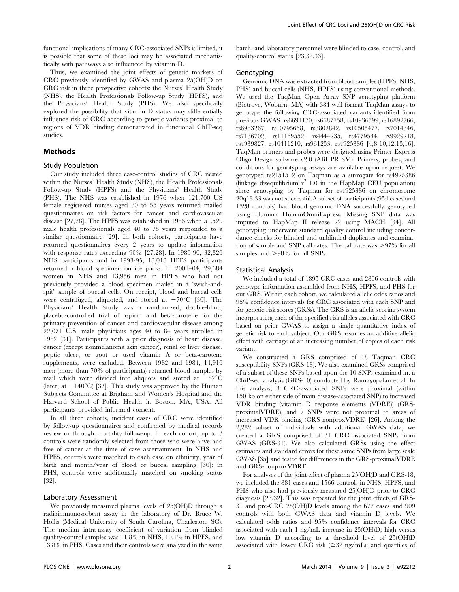functional implications of many CRC-associated SNPs is limited, it is possible that some of these loci may be associated mechanistically with pathways also influenced by vitamin D.

Thus, we examined the joint effects of genetic markers of CRC previously identified by GWAS and plasma 25(OH)D on CRC risk in three prospective cohorts: the Nurses' Health Study (NHS), the Health Professionals Follow-up Study (HPFS), and the Physicians' Health Study (PHS). We also specifically explored the possibility that vitamin D status may differentially influence risk of CRC according to genetic variants proximal to regions of VDR binding demonstrated in functional ChIP-seq studies.

#### Methods

#### Study Population

Our study included three case-control studies of CRC nested within the Nurses' Health Study (NHS), the Health Professionals Follow-up Study (HPFS) and the Physicians' Health Study (PHS). The NHS was established in 1976 when 121,700 US female registered nurses aged 30 to 55 years returned mailed questionnaires on risk factors for cancer and cardiovascular disease [27,28]. The HPFS was established in 1986 when 51,529 male health professionals aged 40 to 75 years responded to a similar questionnaire [29]. In both cohorts, participants have returned questionnaires every 2 years to update information with response rates exceeding 90% [27,28]. In 1989-90, 32,826 NHS participants and in 1993-95, 18,018 HPFS participants returned a blood specimen on ice packs. In 2001–04, 29,684 women in NHS and 13,956 men in HPFS who had not previously provided a blood specimen mailed in a 'swish-andspit' sample of buccal cells. On receipt, blood and buccal cells were centrifuged, aliquoted, and stored at  $-70^{\circ}$ C [30]. The Physicians' Health Study was a randomized, double-blind, placebo-controlled trial of aspirin and beta-carotene for the primary prevention of cancer and cardiovascular disease among 22,071 U.S. male physicians ages 40 to 84 years enrolled in 1982 [31]. Participants with a prior diagnosis of heart disease, cancer (except nonmelanoma skin cancer), renal or liver disease, peptic ulcer, or gout or used vitamin A or beta-carotene supplements, were excluded. Between 1982 and 1984, 14,916 men (more than 70% of participants) returned blood samples by mail which were divided into aliquots and stored at  $-82^{\circ}$ C (later, at  $-140^{\circ}$ C) [32]. This study was approved by the Human Subjects Committee at Brigham and Women's Hospital and the Harvard School of Public Health in Boston, MA, USA. All participants provided informed consent.

In all three cohorts, incident cases of CRC were identified by follow-up questionnaires and confirmed by medical records review or through mortality follow-up. In each cohort, up to 3 controls were randomly selected from those who were alive and free of cancer at the time of case ascertainment. In NHS and HPFS, controls were matched to each case on ethnicity, year of birth and month/year of blood or buccal sampling [30]; in PHS, controls were additionally matched on smoking status [32].

#### Laboratory Assessment

We previously measured plasma levels of 25(OH)D through a radioimmunosorbent assay in the laboratory of Dr. Bruce W. Hollis (Medical University of South Carolina, Charleston, SC). The median intra-assay coefficient of variation from blinded quality-control samples was 11.8% in NHS, 10.1% in HPFS, and 13.8% in PHS. Cases and their controls were analyzed in the same

batch, and laboratory personnel were blinded to case, control, and quality-control status [23,32,33].

#### Genotyping

Genomic DNA was extracted from blood samples (HPFS, NHS, PHS) and buccal cells (NHS, HPFS) using conventional methods. We used the TaqMan Open Array SNP genotyping platform (Biotrove, Woburn, MA) with 384-well format TaqMan assays to genotype the following CRC-associated variants identified from previous GWAS: rs6691170, rs6687758, rs10936599, rs16892766, rs6983267, rs10795668, rs3802842, rs10505477, rs7014346, rs7136702, rs11169552, rs4444235, rs4779584, rs9929218, rs4939827, rs10411210, rs961253, rs4925386 [4,8-10,12,15,16]. TaqMan primers and probes were designed using Primer Express Oligo Design software v2.0 (ABI PRISM). Primers, probes, and conditions for genotyping assays are available upon request. We genotyped rs2151512 on Taqman as a surrogate for rs4925386 (linkage disequilibrium  $r^2$  1.0 in the HapMap CEU population) since genotyping by Taqman for rs4925386 on chromosome 20q13.33 was not successful.A subset of participants (954 cases and 1328 controls) had blood genomic DNA successfully genotyped using Illumina HumanOmniExpress. Missing SNP data was imputed to HapMap II release 22 using MACH [34]. All genotyping underwent standard quality control including concordance checks for blinded and unblinded duplicates and examination of sample and SNP call rates. The call rate was  $>97\%$  for all samples and  $>98\%$  for all SNPs.

#### Statistical Analysis

We included a total of 1895 CRC cases and 2806 controls with genotype information assembled from NHS, HPFS, and PHS for our GRS. Within each cohort, we calculated allelic odds ratios and 95% confidence intervals for CRC associated with each SNP and for genetic risk scores (GRSs). The GRS is an allelic scoring system incorporating each of the specified risk alleles associated with CRC based on prior GWAS to assign a single quantitative index of genetic risk to each subject. Our GRS assumes an additive allelic effect with carriage of an increasing number of copies of each risk variant.

We constructed a GRS comprised of 18 Taqman CRC susceptibility SNPs (GRS-18). We also examined GRSs comprised of a subset of these SNPs based upon the 10 SNPs examined in. a ChiP-seq analysis (GRS-10) conducted by Ramagopalan et al. In this analysis, 3 CRC-associated SNPs were proximal (within 150 kb on either side of main disease-associated SNP) to increased VDR binding (vitamin D response elements (VDRE)) (GRSproximalVDRE), and 7 SNPs were not proximal to areas of increased VDR binding (GRS-nonproxVDRE) [26]. Among the 2,282 subset of individuals with additional GWAS data, we created a GRS comprised of 31 CRC associated SNPs from GWAS (GRS-31). We also calculated GRSs using the effect estimates and standard errors for these same SNPs from large scale GWAS [35] and tested for differences in the GRS-proximalVDRE and GRS-nonproxVDRE.

For analyses of the joint effect of plasma 25(OH)D and GRS-18, we included the 881 cases and 1566 controls in NHS, HPFS, and PHS who also had previously measured 25(OH)D prior to CRC diagnosis [23,32]. This was repeated for the joint effects of GRS-31 and pre-CRC 25(OH)D levels among the 672 cases and 909 controls with both GWAS data and vitamin D levels. We calculated odds ratios and 95% confidence intervals for CRC associated with each 1 ng/mL increase in 25(OH)D; high versus low vitamin D according to a threshold level of 25(OH)D associated with lower CRC risk  $(\geq 32 \text{ ng/mL})$ ; and quartiles of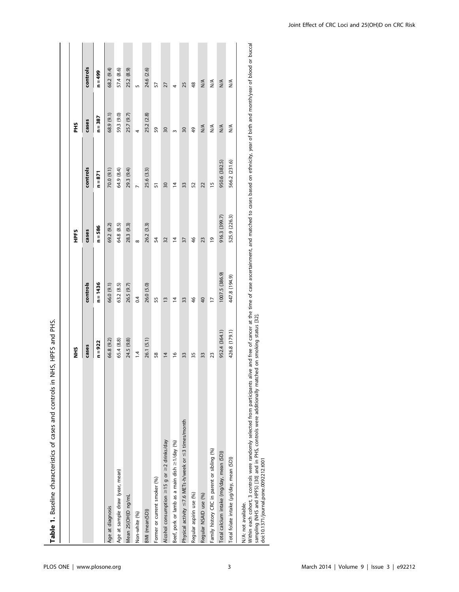| Table 1. Baseline characteristics of cases and controls in       | NHS, HPFS and PHS. |                 |                |                |                         |                      |
|------------------------------------------------------------------|--------------------|-----------------|----------------|----------------|-------------------------|----------------------|
|                                                                  | Ξ.                 |                 | HPFS           |                | PНS                     |                      |
|                                                                  | cases              | controls        | cases          | controls       | cases                   | controls             |
|                                                                  | $n = 922$          | $n = 1436$      | $n = 586$      | $n = 871$      | $n = 387$               | $n = 499$            |
| Age at diagnosis                                                 | 66.8 (9.2)         | 66.0 (9.1)      | 69.2 (9.2)     | 70.0 (9.1)     | 68.9 (9.1)              | 68.2 (9.4)           |
| Age at sample draw (year, mean)                                  | 65.4 (8.8)         | 63.2(8.5)       | 64.8 (8.5)     | 64.9 (8.4)     | 59.3 (9.0)              | 57.4 (8.6)           |
| Mean 25(OH)D ng/mL                                               | 24.5 (9.8)         | 26.5 (9.7)      | 28.3 (9.3)     | 29.3 (9.4)     | 25.7 (9.7)              | 25.2 (8.9)           |
| Non-white (%)                                                    | 1.4                | 0.4             | $\infty$       | $\overline{a}$ | 4                       | s                    |
| BMI (mean(SD))                                                   | 26.1 (5.1)         | 26.0 (5.0)      | 26.2 (3.3)     | 25.6 (3.3)     | 25.2 (2.8)              | 24.6 (2.6)           |
| Former or current smoker (%)                                     | 58                 | 55              | 54             | 57             | 59                      | 57                   |
| Alcohol consumption ≥15 g or ≥2 drinks/day                       | $\overline{4}$     | $\frac{1}{2}$   | 32             | 30             | $\overline{30}$         | 27                   |
| Beef, pork or lamb as a main dish ≥1/day (%)                     | $\frac{8}{2}$      | $\overline{4}$  | $\overline{4}$ | $\overline{4}$ | $\mathsf{S}$            | 4                    |
| Physical activity $\leq$ 7.6 METs-h/week or $\leq$ 3 times/month | 33                 | 33              | 57             | 33             | 30                      | 25                   |
| Regular aspirin use (%)                                          | 35                 | 46              | $\frac{4}{6}$  | 52             | ą,                      | 48                   |
| Regular NSAID use (%)                                            | 33                 | $\overline{40}$ | 23             | 22             | $\frac{4}{\sqrt{2}}$    | $\frac{4}{\sqrt{2}}$ |
| Family history CRC in parent or sibling (%)                      | 23                 | $\overline{1}$  | $\overline{6}$ | 15             | $\stackrel{\leq}{\geq}$ | $\frac{4}{\sqrt{2}}$ |
| Total calcium intake (mg/day, mean (SD))                         | 952.4 (364.1)      | 1007.5 (386.9)  | 916.3 (399.7)  | 950.6 (382.5)  | $\frac{1}{2}$           | $N^{\mathsf{A}}$     |
| Total folate intake (µg/day, mean (SD))                          | 426.8 (179.1)      | 447.8 (194.9)   | 525.9 (226.3)  | 566.2 (231.6)  | ≸                       | $\frac{4}{2}$        |
| N/A: not available.                                              |                    |                 |                |                |                         |                      |

Within each cohort, 3 controls were randomly selected from participants alive and free of cancer at the time of case ascertainment, and matched to cases based on ethnicity, year of birth and month/year of blood or buccal<br>s Within each cohort, 3 controls were randomly selected from participants alive and free of cancer at the time of case ascertainment, and matched to cases based on ethnicity, year of birth and month/year of blood or buccal sampling (NHS and HPFS) [30] and in PHS, controls were additionally matched on smoking status [32]. doi:10.1371/journal.pone.0092212.t001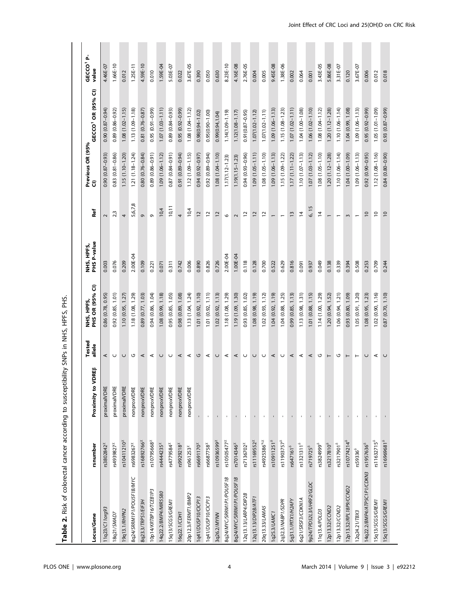| Locus/Gene                                         | rsnumber                  | ₩<br>Proximity to VDR | Tested<br>allele | PHS OR (95% CI)<br>NHS, HPFS, | NHS, HPFS,<br>PHS P-value | Ref                      | Previous OR (95%<br>$\overline{a}$ | GECCO' OR (95% CI)   | ዹ<br>GECCO <sup>1</sup><br>value |
|----------------------------------------------------|---------------------------|-----------------------|------------------|-------------------------------|---------------------------|--------------------------|------------------------------------|----------------------|----------------------------------|
| 11q23/C11org93                                     | rs3802842 <sup>2</sup>    | proximalVDRE          | ⋖                | 0.86 (0.78, 0.95)             | 0.003                     | $\sim$                   | $(6.0 - 78.0)$ 0.93                | 0.90 (0.87-0.94)     | 4.46E-07                         |
| Rq21/SMAD7                                         | rs4939827 <sup>x</sup>    | proximalVDRE          | U                | $0.92$ $(0.85, 1.01)$         | 0.076                     | 2 <sub>3</sub>           | $0.83(0.81 - 0.86)$                | 0.89 (0.86-0.92)     | 1.66E-10                         |
| 19q13.1/RHPN2                                      | r s 10411210 <sup>x</sup> | proximalVDRE          | U                | 1.10(0.95, 1.27)              | 0.209                     | 4                        | $1.15(1.10 - 1.20)$                | $1.08(1.02 - 1.15)$  | 0.012                            |
| 8q24/SRRM1P1/POUSF1B/MYC                           | rs6983267 $x$             | nonproxVDRE           | ಀ                | 1.18 (1.08, 1.29)             | 2.00E-04                  | 5,6,7,8                  | $1.21(1.18 - 1.24)$                | $1.13(1.09 - 1.18)$  | $1.25E-11$                       |
| 8q23.3/TRPS1/EIF3H                                 | rs16892766 <sup>x</sup>   | nonproxVDRE           | ⋖                | 0.89 (0.77, 1.03)             | 0.109                     | ō                        | $0.80(0.76 - 0.84)$                | 0.81 (0.76-0.87)     | 4.59E-10                         |
| 10p14/KRT8P16/TCEB1P3                              | rs10795668 <sup>%</sup>   | nonproxVDRE           | ⋖                | 0.94 (0.86, 1.04)             | 0.221                     | Ō                        | $0.89(0.86 - 0.91)$                | $(66.0 - 16.0)$ 56.0 | 0.010                            |
| 14q22.2/BMP4/MIR5580                               | $rs4444235^{x}$           | nonproxVDRE           | U                | 1.08 (0.99, 1.18)             | 0.071                     | 10,4                     | $1.09(1.06 - 1.12)$                | $1.07(1.03 - 1.11)$  | 1.59E-04                         |
| 15q13/SCG5/GREM1                                   | rs4779584 <sup>x</sup>    | nonproxVDRE           | U                | 0.95 (0.85, 1.05)             | 0.311                     | 10, 11                   | 0.87 (0.84-0.91)                   | $(6.0 - 18.0)$ 68    | 5.03E-07                         |
| 16q22.1/CDH1                                       | rs9929218 <sup>x</sup>    | nonproxVDRE           | ⋖                | 0.98 (0.89, 1.08)             | 0.742                     | $\overline{4}$           | 0.91 (0.89-0.94)                   | $0.95(0.92 - 0.99)$  | 0.022                            |
| 20p12.3/FERMT1/BMP2                                | rs961253 $x$              | nonproxVDRE           | $\prec$          | 1.13(1.04, 1.24)              | 0.006                     | 10,4                     | $1.12(1.09 - 1.15)$                | $1.08(1.04 - 1.12)$  | 3.67E-05                         |
| 1q41/DUSP10/CICP13                                 | rs6691170 <sup>x</sup>    |                       | ں                | 1.01 (0.92, 1.10)             | 0.890                     | $\overline{c}$           | 0.94 (0.92-0.97)                   | $0.98(0.94 - 1.02)$  | 0.390                            |
| 1q41/DUSP10/CICP13                                 | rs6687758 <sup>%</sup>    |                       | ⋖                | 1.01(0.92, 1.11)              | 0.826                     | $\overline{\mathbf{c}}$  | $0.92(0.89 - 0.94)$                | $0.95(0.90 - 1.00)$  | 0.050                            |
| 3q26.2/MYNN                                        | rs10936599 $^{\chi}$      |                       | $\cup$           | 1.02(0.92, 1.13)              | 0.726                     | $\overline{c}$           | $1.08(1.04 - 1.10)$                | 0.99(0.94, 1.04)     | 0.630                            |
| 8q24/MYC/SRRM1P1/POUSF1B                           | rs10505477 <sup>x</sup>   |                       | $\prec$          | 1.18 (1.08, 1.29)             | 2.00E-04                  | $\circ$                  | $1.17(1.12 - 1.23)$                | $1.14(1.09 - 1.19)$  | 8.23E-10                         |
| 8q24/MYC/SRRM1P1/POUSF1B                           | rs7014346 <sup>x</sup>    |                       | ⋖                | 1.19 (1.09, 1.30)             | 1.00E-04                  | $\sim$                   | $1.19(1.15 - 1.23)$                | $1.12(1.08 - 1.17)$  | 4.16E-08                         |
| 12q13.13/LARP4/DIP2B                               | rs7136702 <sup>x</sup>    |                       | $\cup$           | 0.93 (0.85, 1.02)             | 0.118                     | $\overline{c}$           | 0.94 (0.93-0.96)                   | $0.91(0.87 - 0.95)$  | 2.76E-05                         |
| 12q13.13/DIP2B/ATF1                                | rs11169552 <sup>x</sup>   |                       | U                | 1.08 (0.98, 1.19)             | 0.128                     | $\overline{c}$           | $1.09(1.05 - 1.11)$                | $1.07(1.02 - 1.12)$  | 0.004                            |
| 20q13.33/LAMA5                                     | rs4925386 <sup>a.x</sup>  |                       | $\cup$           | 1.02(0.93, 1.12)              | 0.700                     | $\overline{c}$           | $1.08(1.05 - 1.10)$                | $1.07(1.02 - 1.11)$  | 0.005                            |
| 1q25.3/LAMC1                                       | rs10911251 <sup>8</sup>   |                       | ⋖                | 1.04(0.92, 1.19)              | 0.522                     | $\overline{\phantom{0}}$ | $1.09(1.06 - 1.13)$                | $1.09(1.06 - 1.13)$  | 9.45E-08                         |
| 2q32.3/MABP1/SDPR                                  | rs11903757 <sup>8</sup>   |                       | U                | 1.04 (0.88, 1.25)             | 0.629                     |                          | $1.15(1.09 - 1.22)$                | $1.15(1.08 - 1.23)$  | 1.38E-06                         |
| 5q31.1/PITX1/H2AFY                                 | rs647161 $^{\delta}$      |                       | ⋖                | 0.99(0.85, 1.13)              | 0.816                     | $\overline{13}$          | $1.17(1.11 - 1.22)$                | $1.07(1.02 - 1.11)$  | 0.002                            |
| 6q21/SRSF3/CDKN1A                                  | $rs1321311^8$             |                       | $\prec$          | 1.13(0.98, 1.31)              | 0.091                     | $\overline{4}$           | $1.10(1.07 - 1.13)$                | $1.04(1.00 - 1.08)$  | 0.064                            |
| 9p24/TPD52L3/UHRF2/GLDC                            | rs719725 <sup>8</sup>     |                       | ⋖                | 1.01 (0.88, 1.15)             | 0.937                     | 6, 15                    | $1.07(1.03 - 1.12)$                | $1.06(1.02 - 1.10)$  | 0.001                            |
| 11q13.4/POLD3                                      | rs3824999 <sup>®</sup>    |                       | ৩                | 1.14 (1.00, 1.29)             | 0.049                     | $\overline{4}$           | $1.08(1.05 - 1.10)$                | $1.08(1.04 - 1.12)$  | 3.43E-05                         |
| 12p13.32/CCND2                                     | rs3217810 <sup>8</sup>    |                       | $\vdash$         | 1.20 (0.94, 1.52)             | 0.138                     |                          | $1.20(1.12 - 1.28)$                | $1.20(1.12 - 1.28)$  | 5.86E-08                         |
| 12p13.32/CCND2                                     | rs3217901 <sup>8</sup>    |                       | ৩                | 1.06 (0.94, 1.21)             | 0.339                     |                          | $1.10(1.06 - 1.14)$                | $1.10(1.06 - 1.14)$  | 3.31E-07                         |
| 12p13.32/RPL18P9/CCND2                             | rs10774214 <sup>8</sup>   |                       | $\vdash$         | 0.93 (0.80, 1.09)             | 0.394                     | $\epsilon$               | 1.04 (1.00-1.09)                   | 1.04 (0.99, 1.08)    | 0.120                            |
| 12q24.21/TBX3                                      | rs59336 <sup>8</sup>      |                       | $\vdash$         | 1.05 (0.91, 1.20)             | 0.508                     | $\overline{ }$           | $1.09(1.06 - 1.13)$                | $1.09(1.06 - 1.13)$  | 3.67E-07                         |
| 14q22.2/BMP4/ATP5C1P1/CDKN3 rs1957636 <sup>8</sup> |                           |                       | U                | 1.08(0.95, 1.23)              | 0.253                     | $\approx$                | $0.92(0.90 - 0.95)$                | $0.95(0.92 - 0.99)$  | 0.006                            |
| 15q13/SCG5/GREM1                                   | rs11632715 <sup>8</sup>   |                       | ⋖                | 1.02(0.90, 1.16)              | 0.709                     | $\overline{\phantom{0}}$ | $1.12(1.08 - 1.16)$                | $1.05(1.01 - 1.09)$  | 0.012                            |
| 15q13/SCG5/GREM1                                   | rs16969681 <sup>8</sup>   |                       | U                | 0.87 (0.70, 1.10)             | 0.244                     | $\overline{a}$           | $0.84(0.80 - 0.90)$                | $(66.0 - 28.0)$ £6.0 | 0.018                            |

Table 2. Risk of colorectal cancer according to susceptibility SNPs in NHS, HPFS, PHS. Table 2. Risk of colorectal cancer according to susceptibility SNPs in NHS, HPFS, PHS.

### PLOS ONE | www.plosone.org | e92212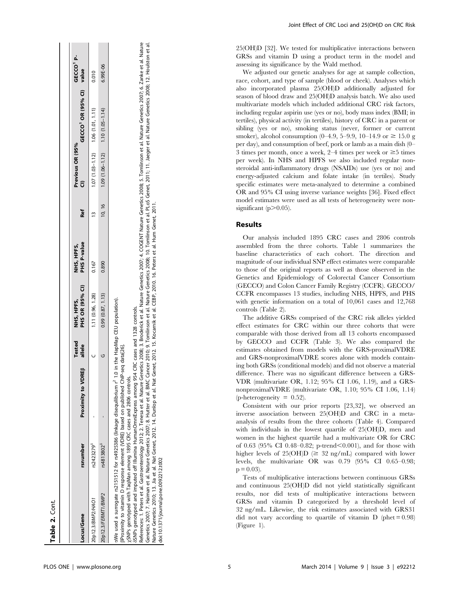| Locus/Gene                                                   | rsnumber   | Proximity to VDREB                                                                                                                         | <b>Tested</b><br>allele | PHS OR (95% CI)<br>NHS, HPFS, | PHS P-value<br>NHS, HPFS, | <b>Ref</b> | Previous OR (95%                        | GECCO <sup>1</sup> OR (95% CI) value   | <b>GECCO</b> |
|--------------------------------------------------------------|------------|--------------------------------------------------------------------------------------------------------------------------------------------|-------------------------|-------------------------------|---------------------------|------------|-----------------------------------------|----------------------------------------|--------------|
| 20p12.3/BMP2/HAO1                                            | rs2423279° |                                                                                                                                            |                         | 1.11 (0.96, 1.28)             | 0.167                     |            |                                         | $1.07(1.03 - 1.12)$ $1.06(1.01, 1.11)$ | 0.010        |
| 20p12.3/FERMT1/BMP2                                          | rs4813802° |                                                                                                                                            |                         | 0.99(0.87, 1.13)              | 0.890                     | 10, 16     | $1.09(1.06 - 1.12)$ $1.10(1.05 - 1.14)$ |                                        | 6.99E-06     |
| BProximity to vitamin D response element (VDRE) based on pul |            | We used a surrogate rs2151512 for rs4925386 (linkage disequilibrium $r^2$ 1.0 in the HapMap CEU population).<br>blished ChIP-sea data[26]. |                         |                               |                           |            |                                         |                                        |              |

GECCO1 Pvalue

ፈ GECCO<sup>1</sup>

bProximity to vitamin D response element (VDRE) based on published ChIP-seq data[26].

cases and 2806 controls. xSNPs genotyped with TaqMan among 1895 CRC cases and 2806 controls. GEC xSNPs genotyped with TaqMan among 1895

 $\frac{1}{2}$  and  $\frac{1}{2}$  and imputed off Illumina HumanOmniExpress among 954 CRC cases and 1328 controls. dSNPs genotyped and imputed off Illumina HumanOmniExpress among 954 CRC cases and 1328 controls.

Genetics 2007; 7. Haiman et al. Nature Genetics 2007; 8. Hutter et al. BMC Cancer 2010; 9. Tomlinson et al. Nature Genetics 2008; 10. Tomlinson et al. PLoS Genet; 2011; 11. Jaeger et al. Nature Genetics 2008; 12. Houlston Tomlinson et al. Nature Genetics 2007; 6. Zanke et al. Nature References: 1. Peters et al. Gastroenterology 2012; 2. Tenesa et al. Nature Cenetics 2008; 3. Broderick et al. Nature Genetics 2007; 4. COGENT Damilison et al. Nature Genetics 2007; 6. Zanke et al. Nature Genetics 2007; 7. Haiman et al. Nature Genetics 2007; 8. Hutter et al. BMC Cancer 2010; 9. Tomlinson et al. Nature Genetics 2008; 10. Tomlinson et al. PLOS Genet, 2011; 11. Jaeger et al. Nature Genetics 2008; 12. Houlston  $\overline{a}$ Peters et al. Gastroenterology 2012; 2. Tenesa et al. Nature Genetics 2008; 3. Broderick et al. Nature Genetics 2007; 4. COGENT Nature Genetics 2008; Nature Genetics 2010; 13. Jia et al. Nat Genet, 2012. 14. Dunlop et al. Nat Genet, 2012. 15. Kocarnik et al. CEBP, 2010. 16. Peters et al. Hum Genet, 2011. References: 1.

doi:10.1371/journal.pone.0092212.t002 doi:10.1371/journal.pone.0092212.t002 Joint Effect of CRC Loci and 25(OH)D on CRC Risk

25(OH)D [32]. We tested for multiplicative interactions between GRSs and vitamin D using a product term in the model and assessing its significance by the Wald method.

We adjusted our genetic analyses for age at sample collection, race, cohort, and type of sample (blood or cheek). Analyses which also incorporated plasma 25(OH)D additionally adjusted for season of blood draw and 25(OH)D analysis batch. We also used multivariate models which included additional CRC risk factors, including regular aspirin use (yes or no), body mass index (BMI; in tertiles), physical activity (in tertiles), history of CRC in a parent or sibling (yes or no), smoking status (never, former or current smoker), alcohol consumption (0–4.9, 5–9.9, 10–14.9 or  $\geq 15.0$  g per day), and consumption of beef, pork or lamb as a main dish (0– 3 times per month, once a week, 2–4 times per week or  $\geq$ 5 times per week). In NHS and HPFS we also included regular nonsteroidal anti-inflammatory drugs (NSAIDs) use (yes or no) and energy-adjusted calcium and folate intake (in tertiles). Study specific estimates were meta-analyzed to determine a combined OR and 95% CI using inverse variance weights [36]. Fixed effect model estimates were used as all tests of heterogeneity were nonsignificant ( $p$  $>$ 0.05).

### Results

Our analysis included 1895 CRC cases and 2806 controls assembled from the three cohorts. Table 1 summarizes the baseline characteristics of each cohort. The direction and magnitude of our individual SNP effect estimates were comparable to those of the original reports as well as those observed in the Genetics and Epidemiology of Colorectal Cancer Consortium (GECCO) and Colon Cancer Family Registry (CCFR). GECCO/ CCFR encompasses 13 studies, including NHS, HPFS, and PHS with genetic information on a total of 10,061 cases and 12,768 controls (Table 2).

The additive GRSs comprised of the CRC risk alleles yielded effect estimates for CRC within our three cohorts that were comparable with those derived from all 13 cohorts encompassed by GECCO and CCFR (Table 3). We also compared the estimates obtained from models with the GRS-proximalVDRE and GRS-nonproximalVDRE scores alone with models containing both GRSs (conditional models) and did not observe a material difference. There was no significant difference between a GRS-VDR (multivariate OR, 1.12; 95% CI 1.06, 1.19), and a GRSnonproximalVDRE (multivariate OR, 1.10; 95% CI 1.06, 1.14) (p-heterogeneity  $= 0.52$ ).

Consistent with our prior reports [23,32], we observed an inverse association between 25(OH)D and CRC in a metaanalysis of results from the three cohorts (Table 4). Compared with individuals in the lowest quartile of 25(OH)D, men and women in the highest quartile had a multivariate OR for CRC of 0.63 (95% CI 0.48–0.82; p-trend $<$ 0.001), and for those with higher levels of 25(OH)D ( $\geq$  32 ng/mL) compared with lower levels, the multivariate OR was 0.79 (95% CI 0.65–0.98;  $p = 0.03$ ).

Tests of multiplicative interactions between continuous GRSs and continuous 25(OH)D did not yield statistically significant results, nor did tests of multiplicative interactions between GRSs and vitamin D categorized by a threshold level of 32 ng/mL. Likewise, the risk estimates associated with GRS31 did not vary according to quartile of vitamin  $D$  (phet = 0.98) (Figure 1).

Table 2. Cont.

Table 2. Cont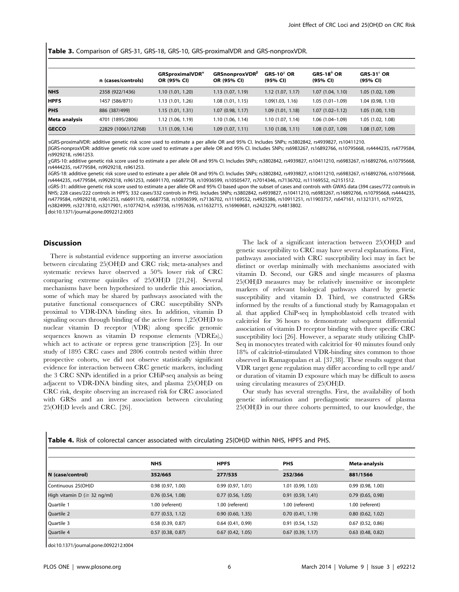Table 3. Comparison of GRS-31, GRS-18, GRS-10, GRS-proximalVDR and GRS-nonproxVDR.

|               | n (cases/controls)  | GRSproximalVDR <sup>a</sup><br>OR (95% CI) | <b>GRSnonproxVDR</b> <sup>B</sup><br>OR (95% CI) | $GRS-10^{\chi}$ OR<br>(95% CI) | $GRS-18^{\delta}$ OR<br>(95% CI) | $GRS-31ε$ OR<br>(95% CI) |  |
|---------------|---------------------|--------------------------------------------|--------------------------------------------------|--------------------------------|----------------------------------|--------------------------|--|
| <b>NHS</b>    | 2358 (922/1436)     | 1.10(1.01, 1.20)                           | 1.13(1.07, 1.19)                                 | 1.12(1.07, 1.17)               | 1.07(1.04, 1.10)                 | 1.05(1.02, 1.09)         |  |
| <b>HPFS</b>   | 1457 (586/871)      | 1.13 (1.01, 1.26)                          | 1.08(1.01, 1.15)                                 | 1.09(1.03, 1.16)               | $1.05(1.01-1.09)$                | 1.04(0.98, 1.10)         |  |
| PHS           | 886 (387/499)       | 1.15(1.01, 1.31)                           | 1.07(0.98, 1.17)                                 | 1.09(1.01, 1.18)               | $1.07(1.02 - 1.12)$              | 1.05(1.00, 1.10)         |  |
| Meta analysis | 4701 (1895/2806)    | 1.12 (1.06, 1.19)                          | 1.10 (1.06, 1.14)                                | 1.10 (1.07, 1.14)              | $1.06(1.04-1.09)$                | 1.05 (1.02, 1.08)        |  |
| <b>GECCO</b>  | 22829 (10061/12768) | 1.11(1.09, 1.14)                           | 1.09(1.07, 1.11)                                 | 1.10(1.08, 1.11)               | 1.08 (1.07, 1.09)                | 1.08(1.07, 1.09)         |  |

aGRS-proximalVDR: additive genetic risk score used to estimate a per allele OR and 95% CI. Includes SNPs; rs3802842, rs4939827, rs10411210.

bGRS-nonproxVDR: additive genetic risk score used to estimate a per allele OR and 95% CI. Includes SNPs; rs6983267, rs16892766, rs10795668, rs4444235, rs4779584, rs9929218, rs961253.

xGRS-10: additive genetic risk score used to estimate a per allele OR and 95% CI. Includes SNPs; rs3802842, rs4939827, rs10411210, rs6983267, rs16892766, rs10795668, rs4444235, rs4779584, rs9929218, rs961253.

dGRS-18: additive genetic risk score used to estimate a per allele OR and 95% CI. Includes SNPs; rs3802842, rs4939827, rs10411210, rs6983267, rs16892766, rs10795668, rs4444235, rs4779584, rs9929218, rs961253, rs6691170, rs6687758, rs10936599, rs10505477, rs7014346, rs7136702, rs11169552, rs2151512.

eGRS-31: additive genetic risk score used to estimate a per allele OR and 95% CI based upon the subset of cases and controls with GWAS data (394 cases/772 controls in NHS; 228 cases/222 controls in HPFS; 332 cases/332 controls in PHS). Includes SNPs; rs3802842, rs4939827, rs10411210, rs6983267, rs16892766, rs10795668, rs4444235, rs4779584, rs9929218, rs961253, rs6691170, rs6687758, rs10936599, rs7136702, rs11169552, rs4925386, rs10911251, rs11903757, rs647161, rs1321311, rs719725, rs3824999, rs3217810, rs3217901, rs10774214, rs59336, rs1957636, rs11632715, rs16969681, rs2423279, rs4813802.

doi:10.1371/journal.pone.0092212.t003

#### Discussion

 $\mathbf{I}$ 

There is substantial evidence supporting an inverse association between circulating 25(OH)D and CRC risk; meta-analyses and systematic reviews have observed a 50% lower risk of CRC comparing extreme quintiles of 25(OH)D [21,24]. Several mechanisms have been hypothesized to underlie this association, some of which may be shared by pathways associated with the putative functional consequences of CRC susceptibility SNPs proximal to VDR-DNA binding sites. In addition, vitamin D signaling occurs through binding of the active form 1,25(OH)D to nuclear vitamin D receptor (VDR) along specific genomic sequences known as vitamin D response elements (VDREs),) which act to activate or repress gene transcription [25]. In our study of 1895 CRC cases and 2806 controls nested within three prospective cohorts, we did not observe statistically significant evidence for interaction between CRC genetic markers, including the 3 CRC SNPs identified in a prior CHiP-seq analysis as being adjacent to VDR-DNA binding sites, and plasma 25(OH)D on CRC risk, despite observing an increased risk for CRC associated with GRSs and an inverse association between circulating 25(OH)D levels and CRC. [26].

The lack of a significant interaction between 25(OH)D and genetic susceptibility to CRC may have several explanations. First, pathways associated with CRC susceptibility loci may in fact be distinct or overlap minimally with mechanisms associated with vitamin D. Second, our GRS and single measures of plasma 25(OH)D measures may be relatively insensitive or incomplete markers of relevant biological pathways shared by genetic susceptibility and vitamin D. Third, we constructed GRSs informed by the results of a functional study by Ramagopalan et al. that applied ChiP-seq in lymphoblastoid cells treated with calcitriol for 36 hours to demonstrate subsequent differential association of vitamin D receptor binding with three specific CRC susceptibility loci [26]. However, a separate study utilizing ChIP-Seq in monocytes treated with calcitriol for 40 minutes found only 18% of calcitriol-stimulated VDR-binding sites common to those observed in Ramagopalan et al. [37,38]. These results suggest that VDR target gene regulation may differ according to cell type and/ or duration of vitamin D exposure which may be difficult to assess using circulating measures of 25(OH)D.

Our study has several strengths. First, the availability of both genetic information and prediagnostic measures of plasma 25(OH)D in our three cohorts permitted, to our knowledge, the

| <b>Table 4.</b> Risk of colorectal cancer associated with circulating 25(OH)D within NHS, HPFS and PHS. |  |  |  |
|---------------------------------------------------------------------------------------------------------|--|--|--|
|---------------------------------------------------------------------------------------------------------|--|--|--|

|                                           | <b>NHS</b>            | <b>HPFS</b>           | <b>PHS</b>            | Meta-analysis         |
|-------------------------------------------|-----------------------|-----------------------|-----------------------|-----------------------|
| N (case/control)                          | 352/665               | 277/535               | 252/366               | 881/1566              |
| Continuous 25(OH)D                        | 0.98(0.97, 1.00)      | 0.99(0.97, 1.01)      | 1.01 (0.99, 1.03)     | 0.99(0.98, 1.00)      |
| High vitamin $D \approx 32 \text{ ng/ml}$ | $0.76$ $(0.54, 1.08)$ | $0.77$ (0.56, 1.05)   | 0.91(0.59, 1.41)      | $0.79$ $(0.65, 0.98)$ |
| Quartile 1                                | 1.00 (referent)       | 1.00 (referent)       | 1.00 (referent)       | 1.00 (referent)       |
| Quartile 2                                | 0.77(0.53, 1.12)      | $0.90$ $(0.60, 1.35)$ | 0.70(0.41, 1.19)      | $0.80$ $(0.62, 1.02)$ |
| Quartile 3                                | 0.58(0.39, 0.87)      | $0.64$ (0.41, 0.99)   | 0.91(0.54, 1.52)      | $0.67$ (0.52, 0.86)   |
| Quartile 4                                | $0.57$ (0.38, 0.87)   | $0.67$ $(0.42, 1.05)$ | $0.67$ $(0.39, 1.17)$ | $0.63$ $(0.48, 0.82)$ |

doi:10.1371/journal.pone.0092212.t004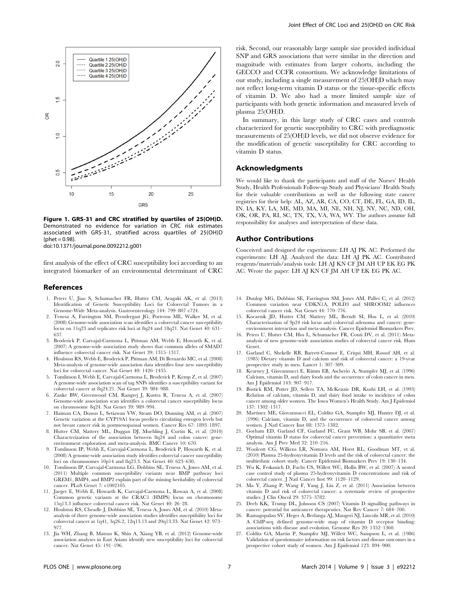

Figure 1. GRS-31 and CRC stratified by quartiles of 25(OH)D. Demonstrated no evidence for variation in CRC risk estimates associated with GRS-31, stratified across quartiles of 25(OH)D  $(hhat = 0.98)$ 

doi:10.1371/journal.pone.0092212.g001

first analysis of the effect of CRC susceptibility loci according to an integrated biomarker of an environmental determinant of CRC

#### References

- 1. Peters U, Jiao S, Schumacher FR, Hutter CM, Aragaki AK, et al. (2013) Identification of Genetic Susceptibility Loci for Colorectal Tumors in a Genome-Wide Meta-analysis. Gastroenterology 144: 799–807 e724.
- 2. Tenesa A, Farrington SM, Prendergast JG, Porteous ME, Walker M, et al. (2008) Genome-wide association scan identifies a colorectal cancer susceptibility locus on 11q23 and replicates risk loci at 8q24 and 18q21. Nat Genet 40: 631– 637.
- 3. Broderick P, Carvajal-Carmona L, Pittman AM, Webb E, Howarth K, et al. (2007) A genome-wide association study shows that common alleles of SMAD7 influence colorectal cancer risk. Nat Genet 39: 1315–1317.
- 4. Houlston RS, Webb E, Broderick P, Pittman AM, Di Bernardo MC, et al. (2008) Meta-analysis of genome-wide association data identifies four new susceptibility loci for colorectal cancer. Nat Genet 40: 1426–1435.
- 5. Tomlinson I, Webb E, Carvajal-Carmona L, Broderick P, Kemp Z, et al. (2007) A genome-wide association scan of tag SNPs identifies a susceptibility variant for colorectal cancer at 8q24.21. Nat Genet 39: 984–988.
- 6. Zanke BW, Greenwood CM, Rangrej J, Kustra R, Tenesa A, et al. (2007) Genome-wide association scan identifies a colorectal cancer susceptibility locus on chromosome 8q24. Nat Genet 39: 989–994.
- 7. Haiman CA, Dossus L, Setiawan VW, Stram DO, Dunning AM, et al. (2007) Genetic variation at the CYP19A1 locus predicts circulating estrogen levels but not breast cancer risk in postmenopausal women. Cancer Res 67: 1893–1897.
- 8. Hutter CM, Slattery ML, Duggan DJ, Muehling J, Curtin K, et al. (2010) Characterization of the association between 8q24 and colon cancer: geneenvironment exploration and meta-analysis. BMC Cancer 10: 670.
- 9. Tomlinson IP, Webb E, Carvajal-Carmona L, Broderick P, Howarth K, et al. (2008) A genome-wide association study identifies colorectal cancer susceptibility loci on chromosomes 10p14 and 8q23.3. Nat Genet 40: 623–630.
- 10. Tomlinson IP, Carvajal-Carmona LG, Dobbins SE, Tenesa A, Jones AM, et al. (2011) Multiple common susceptibility variants near BMP pathway loci GREM1, BMP4, and BMP2 explain part of the missing heritability of colorectal cancer. PLoS Genet 7: e1002105.
- 11. Jaeger E, Webb E, Howarth K, Carvajal-Carmona L, Rowan A, et al. (2008) Common genetic variants at the CRAC1 (HMPS) locus on chromosome 15q13.3 influence colorectal cancer risk. Nat Genet 40: 26–28.
- 12. Houlston RS, Cheadle J, Dobbins SE, Tenesa A, Jones AM, et al. (2010) Metaanalysis of three genome-wide association studies identifies susceptibility loci for colorectal cancer at 1q41, 3q26.2, 12q13.13 and 20q13.33. Nat Genet 42: 973– 977.
- 13. Jia WH, Zhang B, Matsuo K, Shin A, Xiang YB, et al. (2012) Genome-wide association analyses in East Asians identify new susceptibility loci for colorectal cancer. Nat Genet 45: 191–196.

risk. Second, our reasonably large sample size provided individual SNP and GRS associations that were similar in the direction and magnitude with estimates from larger cohorts, including the GECCO and CCFR consortium. We acknowledge limitations of our study, including a single measurement of 25(OH)D which may not reflect long-term vitamin D status or the tissue-specific effects of vitamin D. We also had a more limited sample size of participants with both genetic information and measured levels of plasma 25(OH)D.

In summary, in this large study of CRC cases and controls characterized for genetic susceptibility to CRC with prediagnostic measurements of 25(OH)D levels, we did not observe evidence for the modification of genetic susceptibility for CRC according to vitamin D status.

#### Acknowledgments

We would like to thank the participants and staff of the Nurses' Health Study, Health Professionals Follow-up Study and Physicians' Health Study for their valuable contributions as well as the following state cancer registries for their help: AL, AZ, AR, CA, CO, CT, DE, FL, GA, ID, IL, IN, IA, KY, LA, ME, MD, MA, MI, NE, NH, NJ, NY, NC, ND, OH, OK, OR, PA, RI, SC, TN, TX, VA, WA, WY. The authors assume full responsibility for analyses and interpretation of these data.

#### Author Contributions

Conceived and designed the experiments: LH AJ PK AC. Performed the experiments: LH AJ. Analyzed the data: LH AJ PK AC. Contributed reagents/materials/analysis tools: LH AJ KN CF JM AH UP EK EG PK AC. Wrote the paper: LH AJ KN CF JM AH UP EK EG PK AC.

- 14. Dunlop MG, Dobbins SE, Farrington SM, Jones AM, Palles C, et al. (2012) Common variation near CDKN1A, POLD3 and SHROOM2 influences colorectal cancer risk. Nat Genet 44: 770–776.
- 15. Kocarnik JD, Hutter CM, Slattery ML, Berndt SI, Hsu L, et al. (2010) Characterization of 9p24 risk locus and colorectal adenoma and cancer: geneenvironment interaction and meta-analysis. Cancer Epidemiol Biomarkers Prev.
- 16. Peters U, Hutter CM, Hsu L, Schumacher FR, Conti DV, et al. (2011) Metaanalysis of new genome-wide association studies of colorectal cancer risk. Hum Genet.
- 17. Garland C, Shekelle RB, Barrett-Connor E, Criqui MH, Rossof AH, et al. (1985) Dietary vitamin D and calcium and risk of colorectal cancer: a 19-year prospective study in men. Lancet 1: 307–309.
- 18. Kearney J, Giovannucci E, Rimm EB, Ascherio A, Stampfer MJ, et al. (1996) Calcium, vitamin D, and dairy foods and the occurrence of colon cancer in men. Am J Epidemiol 143: 907–917.
- 19. Bostick RM, Potter JD, Sellers TA, McKenzie DR, Kushi LH, et al. (1993) Relation of calcium, vitamin D, and dairy food intake to incidence of colon cancer among older women. The Iowa Women's Health Study. Am J Epidemiol 137: 1302–1317.
- 20. Martinez ME, Giovannucci EL, Colditz GA, Stampfer MJ, Hunter DJ, et al. (1996) Calcium, vitamin D, and the occurrence of colorectal cancer among women. J Natl Cancer Inst 88: 1375–1382.
- 21. Gorham ED, Garland CF, Garland FC, Grant WB, Mohr SB, et al. (2007) Optimal vitamin D status for colorectal cancer prevention: a quantitative meta analysis. Am J Prev Med 32: 210–216.
- 22. Woolcott CG, Wilkens LR, Nomura AM, Horst RL, Goodman MT, et al. (2010) Plasma 25-hydroxyvitamin D levels and the risk of colorectal cancer: the multiethnic cohort study. Cancer Epidemiol Biomarkers Prev 19: 130–134.
- 23. Wu K, Feskanich D, Fuchs CS, Willett WC, Hollis BW, et al. (2007) A nested case control study of plasma 25-hydroxyvitamin D concentrations and risk of colorectal cancer. J Natl Cancer Inst 99: 1120–1129.
- 24. Ma Y, Zhang P, Wang F, Yang J, Liu Z, et al. (2011) Association between vitamin D and risk of colorectal cancer: a systematic review of prospective studies. J Clin Oncol 29: 3775–3782.
- 25. Deeb KK, Trump DL, Johnson CS (2007) Vitamin D signalling pathways in cancer: potential for anticancer therapeutics. Nat Rev Cancer 7: 684–700.
- 26. Ramagopalan SV, Heger A, Berlanga AJ, Maugeri NJ, Lincoln MR, et al. (2010) A ChIP-seq defined genome-wide map of vitamin D receptor binding: associations with disease and evolution. Genome Res 20: 1352–1360.
- 27. Colditz GA, Martin P, Stampfer MJ, Willett WC, Sampson L, et al. (1986) Validation of questionnaire information on risk factors and disease outcomes in a prospective cohort study of women. Am J Epidemiol 123: 894–900.